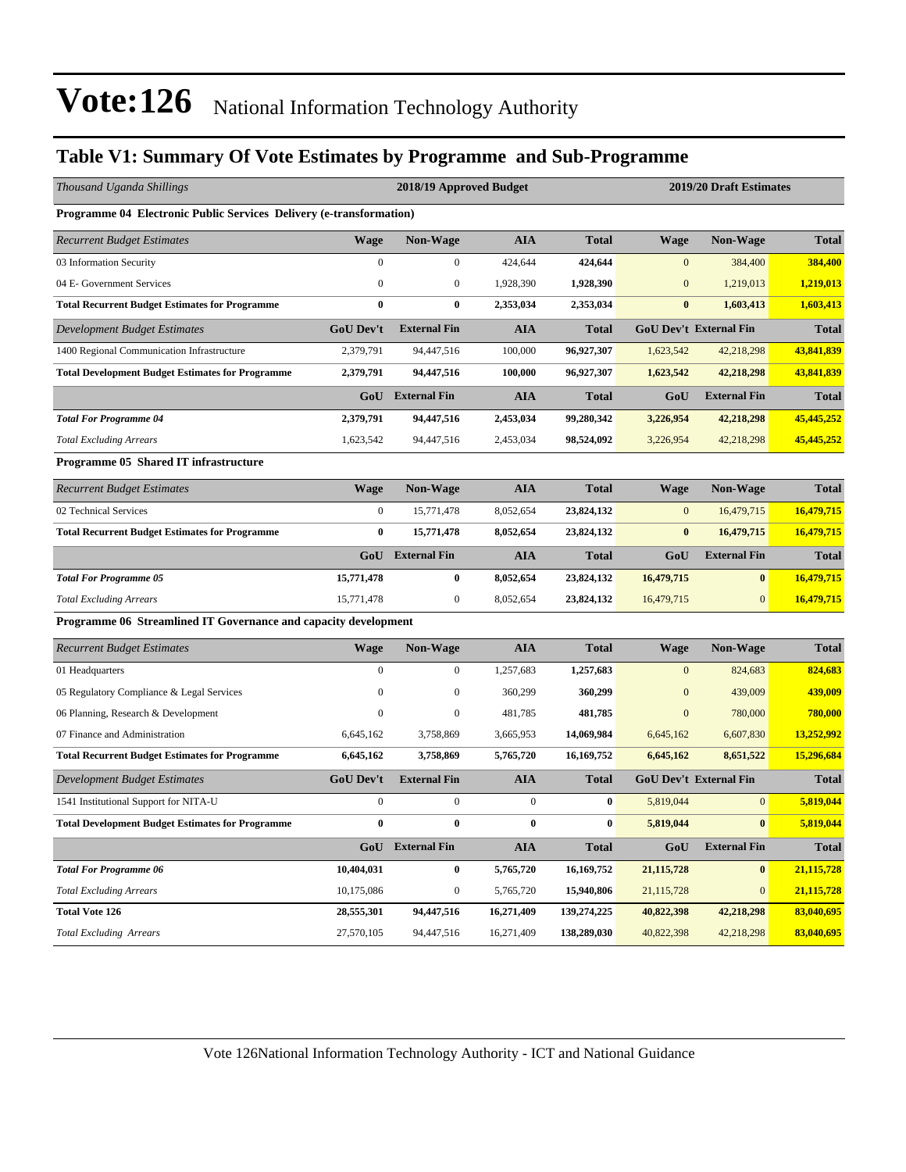### **Table V1: Summary Of Vote Estimates by Programme and Sub-Programme**

| Thousand Uganda Shillings                                           |                  | 2018/19 Approved Budget |                  |              | 2019/20 Draft Estimates |                               |              |
|---------------------------------------------------------------------|------------------|-------------------------|------------------|--------------|-------------------------|-------------------------------|--------------|
| Programme 04 Electronic Public Services Delivery (e-transformation) |                  |                         |                  |              |                         |                               |              |
| <b>Recurrent Budget Estimates</b>                                   | <b>Wage</b>      | <b>Non-Wage</b>         | <b>AIA</b>       | <b>Total</b> | <b>Wage</b>             | <b>Non-Wage</b>               | <b>Total</b> |
| 03 Information Security                                             | $\overline{0}$   | $\Omega$                | 424,644          | 424,644      | $\overline{0}$          | 384,400                       | 384,400      |
| 04 E- Government Services                                           | $\boldsymbol{0}$ | $\boldsymbol{0}$        | 1,928,390        | 1,928,390    | $\mathbf{0}$            | 1,219,013                     | 1,219,013    |
| <b>Total Recurrent Budget Estimates for Programme</b>               | $\bf{0}$         | $\bf{0}$                | 2,353,034        | 2,353,034    | $\bf{0}$                | 1,603,413                     | 1,603,413    |
| Development Budget Estimates                                        | <b>GoU Dev't</b> | <b>External Fin</b>     | <b>AIA</b>       | <b>Total</b> |                         | <b>GoU Dev't External Fin</b> | <b>Total</b> |
| 1400 Regional Communication Infrastructure                          | 2,379,791        | 94,447,516              | 100,000          | 96,927,307   | 1,623,542               | 42,218,298                    | 43,841,839   |
| <b>Total Development Budget Estimates for Programme</b>             | 2,379,791        | 94,447,516              | 100,000          | 96,927,307   | 1,623,542               | 42,218,298                    | 43,841,839   |
|                                                                     |                  | GoU External Fin        | <b>AIA</b>       | <b>Total</b> | GoU                     | <b>External Fin</b>           | <b>Total</b> |
| <b>Total For Programme 04</b>                                       | 2,379,791        | 94,447,516              | 2,453,034        | 99,280,342   | 3,226,954               | 42,218,298                    | 45,445,252   |
| <b>Total Excluding Arrears</b>                                      | 1,623,542        | 94,447,516              | 2,453,034        | 98,524,092   | 3,226,954               | 42,218,298                    | 45,445,252   |
| <b>Programme 05 Shared IT infrastructure</b>                        |                  |                         |                  |              |                         |                               |              |
| <b>Recurrent Budget Estimates</b>                                   | <b>Wage</b>      | Non-Wage                | <b>AIA</b>       | <b>Total</b> | <b>Wage</b>             | Non-Wage                      | <b>Total</b> |
| 02 Technical Services                                               | $\boldsymbol{0}$ | 15,771,478              | 8,052,654        | 23,824,132   | $\mathbf{0}$            | 16,479,715                    | 16,479,715   |
| <b>Total Recurrent Budget Estimates for Programme</b>               | $\bf{0}$         | 15,771,478              | 8,052,654        | 23,824,132   | $\bf{0}$                | 16,479,715                    | 16,479,715   |
|                                                                     |                  | GoU External Fin        | <b>AIA</b>       | <b>Total</b> | GoU                     | <b>External Fin</b>           | <b>Total</b> |
| <b>Total For Programme 05</b>                                       | 15,771,478       | $\bf{0}$                | 8,052,654        | 23,824,132   | 16,479,715              | $\bf{0}$                      | 16,479,715   |
| <b>Total Excluding Arrears</b>                                      | 15,771,478       | $\boldsymbol{0}$        | 8,052,654        | 23,824,132   | 16,479,715              | $\mathbf{0}$                  | 16,479,715   |
| Programme 06 Streamlined IT Governance and capacity development     |                  |                         |                  |              |                         |                               |              |
| <b>Recurrent Budget Estimates</b>                                   | <b>Wage</b>      | Non-Wage                | <b>AIA</b>       | <b>Total</b> | <b>Wage</b>             | Non-Wage                      | <b>Total</b> |
| 01 Headquarters                                                     | $\mathbf{0}$     | $\boldsymbol{0}$        | 1,257,683        | 1,257,683    | $\boldsymbol{0}$        | 824,683                       | 824,683      |
| 05 Regulatory Compliance & Legal Services                           | $\boldsymbol{0}$ | $\boldsymbol{0}$        | 360,299          | 360,299      | $\mathbf{0}$            | 439,009                       | 439,009      |
| 06 Planning, Research & Development                                 | $\mathbf{0}$     | $\mathbf{0}$            | 481,785          | 481,785      | $\overline{0}$          | 780,000                       | 780,000      |
| 07 Finance and Administration                                       | 6,645,162        | 3,758,869               | 3,665,953        | 14,069,984   | 6,645,162               | 6,607,830                     | 13,252,992   |
| <b>Total Recurrent Budget Estimates for Programme</b>               | 6,645,162        | 3,758,869               | 5,765,720        | 16,169,752   | 6,645,162               | 8,651,522                     | 15,296,684   |
| <b>Development Budget Estimates</b>                                 | <b>GoU Dev't</b> | <b>External Fin</b>     | <b>AIA</b>       | <b>Total</b> |                         | <b>GoU Dev't External Fin</b> | <b>Total</b> |
| 1541 Institutional Support for NITA-U                               | $\boldsymbol{0}$ | $\boldsymbol{0}$        | $\boldsymbol{0}$ | $\bf{0}$     | 5,819,044               | $\mathbf{0}$                  | 5,819,044    |
| <b>Total Development Budget Estimates for Programme</b>             | $\bf{0}$         | $\bf{0}$                | $\bf{0}$         | $\bf{0}$     | 5,819,044               | $\bf{0}$                      | 5,819,044    |
|                                                                     |                  | <b>GoU</b> External Fin | <b>AIA</b>       | <b>Total</b> | GoU                     | <b>External Fin</b>           | <b>Total</b> |
| <b>Total For Programme 06</b>                                       | 10,404,031       | $\bf{0}$                | 5,765,720        | 16,169,752   | 21,115,728              | $\bf{0}$                      | 21,115,728   |
| <b>Total Excluding Arrears</b>                                      | 10,175,086       | $\boldsymbol{0}$        | 5,765,720        | 15,940,806   | 21,115,728              | $\mathbf{0}$                  | 21,115,728   |
| <b>Total Vote 126</b>                                               | 28,555,301       | 94,447,516              | 16,271,409       | 139,274,225  | 40,822,398              | 42,218,298                    | 83,040,695   |
| <b>Total Excluding Arrears</b>                                      | 27,570,105       | 94,447,516              | 16,271,409       | 138,289,030  | 40,822,398              | 42,218,298                    | 83,040,695   |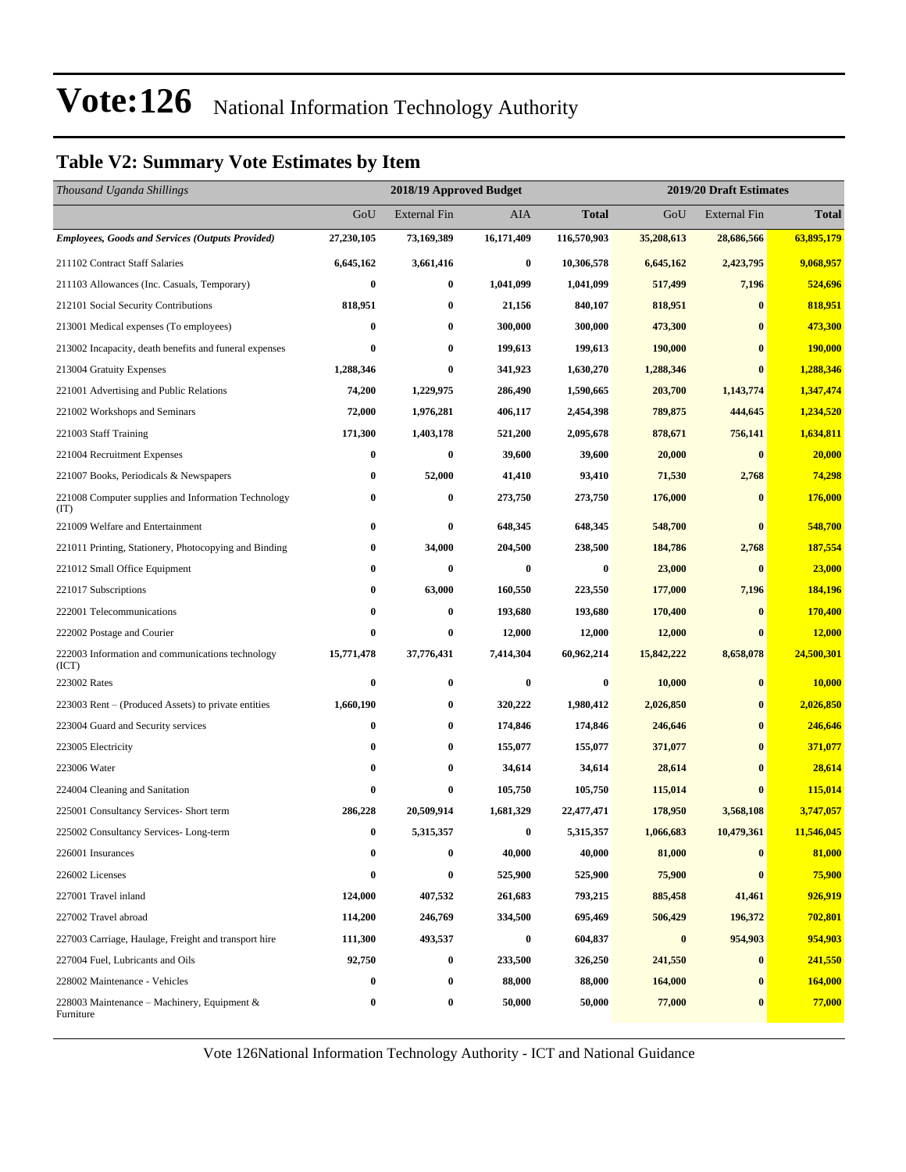#### **Table V2: Summary Vote Estimates by Item**

| Thousand Uganda Shillings                                   |                  | 2018/19 Approved Budget |            | 2019/20 Draft Estimates |            |                     |                |
|-------------------------------------------------------------|------------------|-------------------------|------------|-------------------------|------------|---------------------|----------------|
|                                                             | GoU              | External Fin            | AIA        | <b>Total</b>            | GoU        | <b>External Fin</b> | <b>Total</b>   |
| <b>Employees, Goods and Services (Outputs Provided)</b>     | 27,230,105       | 73,169,389              | 16,171,409 | 116,570,903             | 35,208,613 | 28,686,566          | 63,895,179     |
| 211102 Contract Staff Salaries                              | 6,645,162        | 3,661,416               | $\bf{0}$   | 10,306,578              | 6,645,162  | 2,423,795           | 9,068,957      |
| 211103 Allowances (Inc. Casuals, Temporary)                 | $\bf{0}$         | $\bf{0}$                | 1,041,099  | 1,041,099               | 517,499    | 7,196               | 524,696        |
| 212101 Social Security Contributions                        | 818,951          | $\bf{0}$                | 21,156     | 840,107                 | 818,951    | $\bf{0}$            | 818,951        |
| 213001 Medical expenses (To employees)                      | $\boldsymbol{0}$ | $\bf{0}$                | 300,000    | 300,000                 | 473,300    | $\bf{0}$            | 473,300        |
| 213002 Incapacity, death benefits and funeral expenses      | $\bf{0}$         | $\bf{0}$                | 199,613    | 199,613                 | 190,000    | $\bf{0}$            | <b>190,000</b> |
| 213004 Gratuity Expenses                                    | 1,288,346        | $\bf{0}$                | 341,923    | 1,630,270               | 1,288,346  | $\bf{0}$            | 1,288,346      |
| 221001 Advertising and Public Relations                     | 74,200           | 1,229,975               | 286,490    | 1,590,665               | 203,700    | 1,143,774           | 1,347,474      |
| 221002 Workshops and Seminars                               | 72,000           | 1,976,281               | 406,117    | 2,454,398               | 789,875    | 444,645             | 1,234,520      |
| 221003 Staff Training                                       | 171,300          | 1,403,178               | 521,200    | 2,095,678               | 878,671    | 756,141             | 1,634,811      |
| 221004 Recruitment Expenses                                 | $\bf{0}$         | $\bf{0}$                | 39,600     | 39,600                  | 20,000     | $\bf{0}$            | 20,000         |
| 221007 Books, Periodicals & Newspapers                      | 0                | 52,000                  | 41,410     | 93,410                  | 71,530     | 2,768               | 74,298         |
| 221008 Computer supplies and Information Technology<br>(TT) | 0                | $\bf{0}$                | 273,750    | 273,750                 | 176,000    | $\bf{0}$            | <b>176,000</b> |
| 221009 Welfare and Entertainment                            | $\boldsymbol{0}$ | $\bf{0}$                | 648,345    | 648,345                 | 548,700    | $\bf{0}$            | 548,700        |
| 221011 Printing, Stationery, Photocopying and Binding       | 0                | 34,000                  | 204,500    | 238,500                 | 184,786    | 2,768               | 187,554        |
| 221012 Small Office Equipment                               | $\bf{0}$         | $\bf{0}$                | 0          | $\bf{0}$                | 23,000     | $\bf{0}$            | 23,000         |
| 221017 Subscriptions                                        | $\bf{0}$         | 63,000                  | 160,550    | 223,550                 | 177,000    | 7,196               | 184,196        |
| 222001 Telecommunications                                   | 0                | $\bf{0}$                | 193,680    | 193,680                 | 170,400    | $\bf{0}$            | 170,400        |
| 222002 Postage and Courier                                  | $\bf{0}$         | $\bf{0}$                | 12,000     | 12,000                  | 12,000     | $\bf{0}$            | 12,000         |
| 222003 Information and communications technology<br>(ICT)   | 15,771,478       | 37,776,431              | 7,414,304  | 60,962,214              | 15,842,222 | 8,658,078           | 24,500,301     |
| 223002 Rates                                                | 0                | $\bf{0}$                | $\bf{0}$   | $\boldsymbol{0}$        | 10,000     | $\bf{0}$            | <b>10,000</b>  |
| 223003 Rent – (Produced Assets) to private entities         | 1,660,190        | $\bf{0}$                | 320,222    | 1,980,412               | 2,026,850  | $\bf{0}$            | 2,026,850      |
| 223004 Guard and Security services                          | $\boldsymbol{0}$ | $\bf{0}$                | 174,846    | 174,846                 | 246,646    | $\bf{0}$            | 246,646        |
| 223005 Electricity                                          | 0                | $\bf{0}$                | 155,077    | 155,077                 | 371,077    | $\bf{0}$            | 371,077        |
| 223006 Water                                                | $\bf{0}$         | $\bf{0}$                | 34,614     | 34,614                  | 28,614     | $\bf{0}$            | 28,614         |
| 224004 Cleaning and Sanitation                              | 0                | $\bf{0}$                | 105,750    | 105,750                 | 115,014    | $\bf{0}$            | 115,014        |
| 225001 Consultancy Services- Short term                     | 286,228          | 20,509,914              | 1,681,329  | 22,477,471              | 178,950    | 3,568,108           | 3,747,057      |
| 225002 Consultancy Services-Long-term                       | 0                | 5,315,357               | $\bf{0}$   | 5,315,357               | 1,066,683  | 10,479,361          | 11,546,045     |
| 226001 Insurances                                           | 0                | $\boldsymbol{0}$        | 40,000     | 40,000                  | 81,000     | $\bf{0}$            | 81,000         |
| 226002 Licenses                                             | $\boldsymbol{0}$ | $\bf{0}$                | 525,900    | 525,900                 | 75,900     | $\bf{0}$            | 75,900         |
| 227001 Travel inland                                        | 124,000          | 407,532                 | 261,683    | 793,215                 | 885,458    | 41,461              | 926,919        |
| 227002 Travel abroad                                        | 114,200          | 246,769                 | 334,500    | 695,469                 | 506,429    | 196,372             | 702,801        |
| 227003 Carriage, Haulage, Freight and transport hire        | 111,300          | 493,537                 | $\bf{0}$   | 604,837                 | $\pmb{0}$  | 954,903             | 954,903        |
| 227004 Fuel, Lubricants and Oils                            | 92,750           | $\bf{0}$                | 233,500    | 326,250                 | 241,550    | $\bf{0}$            | 241,550        |
| 228002 Maintenance - Vehicles                               | 0                | $\bf{0}$                | 88,000     | 88,000                  | 164,000    | $\boldsymbol{0}$    | 164,000        |
| 228003 Maintenance – Machinery, Equipment $\&$<br>Furniture | $\boldsymbol{0}$ | $\bf{0}$                | 50,000     | 50,000                  | 77,000     | $\bf{0}$            | 77,000         |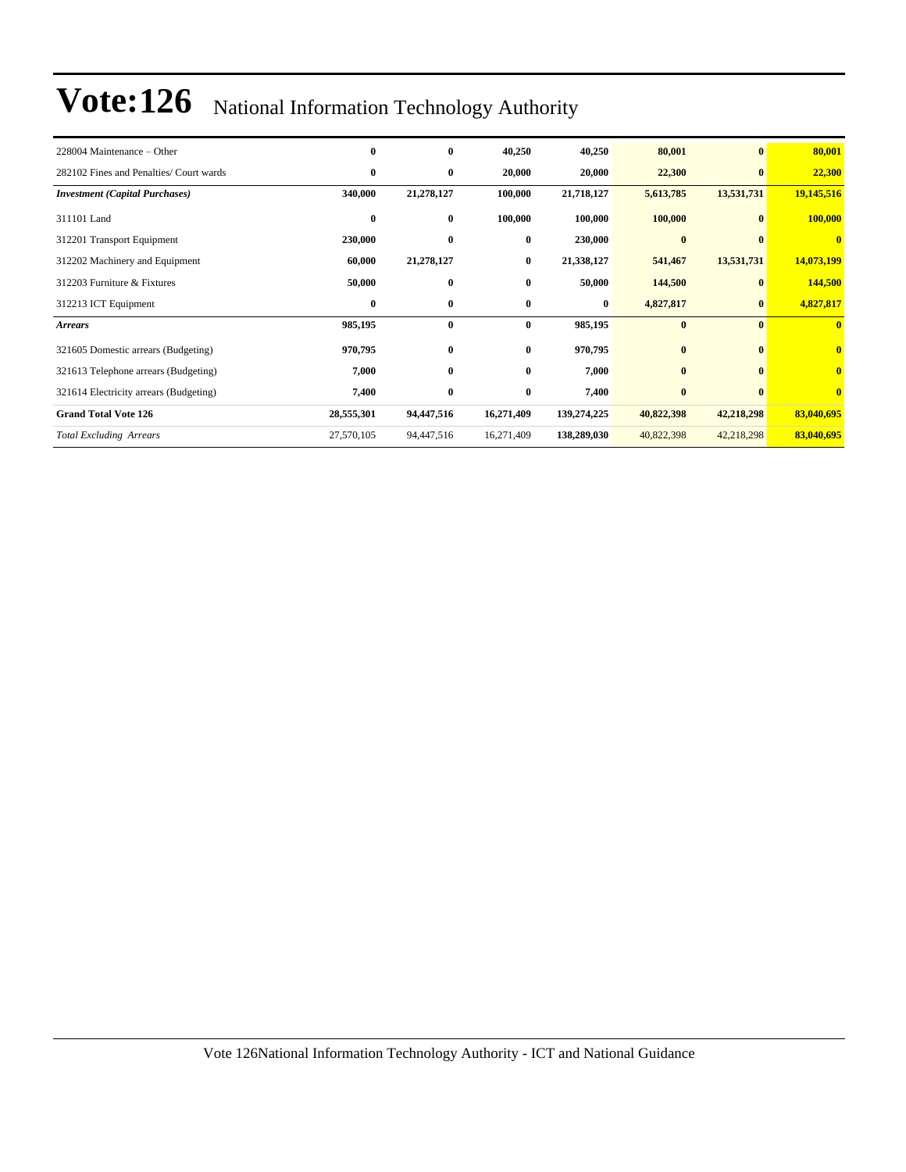| 228004 Maintenance – Other              | $\bf{0}$   | $\bf{0}$   | 40,250     | 40,250      | 80,001       | $\bf{0}$     | 80,001       |
|-----------------------------------------|------------|------------|------------|-------------|--------------|--------------|--------------|
| 282102 Fines and Penalties/ Court wards | $\bf{0}$   | $\bf{0}$   | 20,000     | 20,000      | 22,300       | $\mathbf{0}$ | 22,300       |
| <b>Investment (Capital Purchases)</b>   | 340,000    | 21,278,127 | 100,000    | 21,718,127  | 5,613,785    | 13,531,731   | 19,145,516   |
| 311101 Land                             | $\bf{0}$   | $\bf{0}$   | 100,000    | 100,000     | 100,000      | $\mathbf{0}$ | 100,000      |
| 312201 Transport Equipment              | 230,000    | $\bf{0}$   | $\bf{0}$   | 230,000     | $\mathbf{0}$ |              | $\mathbf{0}$ |
| 312202 Machinery and Equipment          | 60,000     | 21,278,127 | $\bf{0}$   | 21,338,127  | 541,467      | 13,531,731   | 14,073,199   |
| 312203 Furniture & Fixtures             | 50,000     | $\bf{0}$   | $\bf{0}$   | 50,000      | 144,500      | $\bf{0}$     | 144,500      |
| 312213 ICT Equipment                    | $\bf{0}$   | $\bf{0}$   | $\bf{0}$   | $\bf{0}$    | 4,827,817    | $\bf{0}$     | 4,827,817    |
| <b>Arrears</b>                          | 985,195    | $\bf{0}$   | $\bf{0}$   | 985,195     | $\bf{0}$     | $\bf{0}$     | $\mathbf{0}$ |
| 321605 Domestic arrears (Budgeting)     | 970,795    | $\bf{0}$   | $\bf{0}$   | 970,795     | $\bf{0}$     | $\bf{0}$     | $\mathbf{0}$ |
| 321613 Telephone arrears (Budgeting)    | 7,000      | $\bf{0}$   | $\bf{0}$   | 7,000       | $\bf{0}$     |              | $\mathbf{0}$ |
| 321614 Electricity arrears (Budgeting)  | 7,400      | $\bf{0}$   | $\bf{0}$   | 7,400       | $\bf{0}$     | $\mathbf{0}$ | $\mathbf{0}$ |
| <b>Grand Total Vote 126</b>             | 28,555,301 | 94,447,516 | 16,271,409 | 139,274,225 | 40,822,398   | 42,218,298   | 83,040,695   |
| <b>Total Excluding Arrears</b>          | 27,570,105 | 94,447,516 | 16,271,409 | 138,289,030 | 40,822,398   | 42,218,298   | 83,040,695   |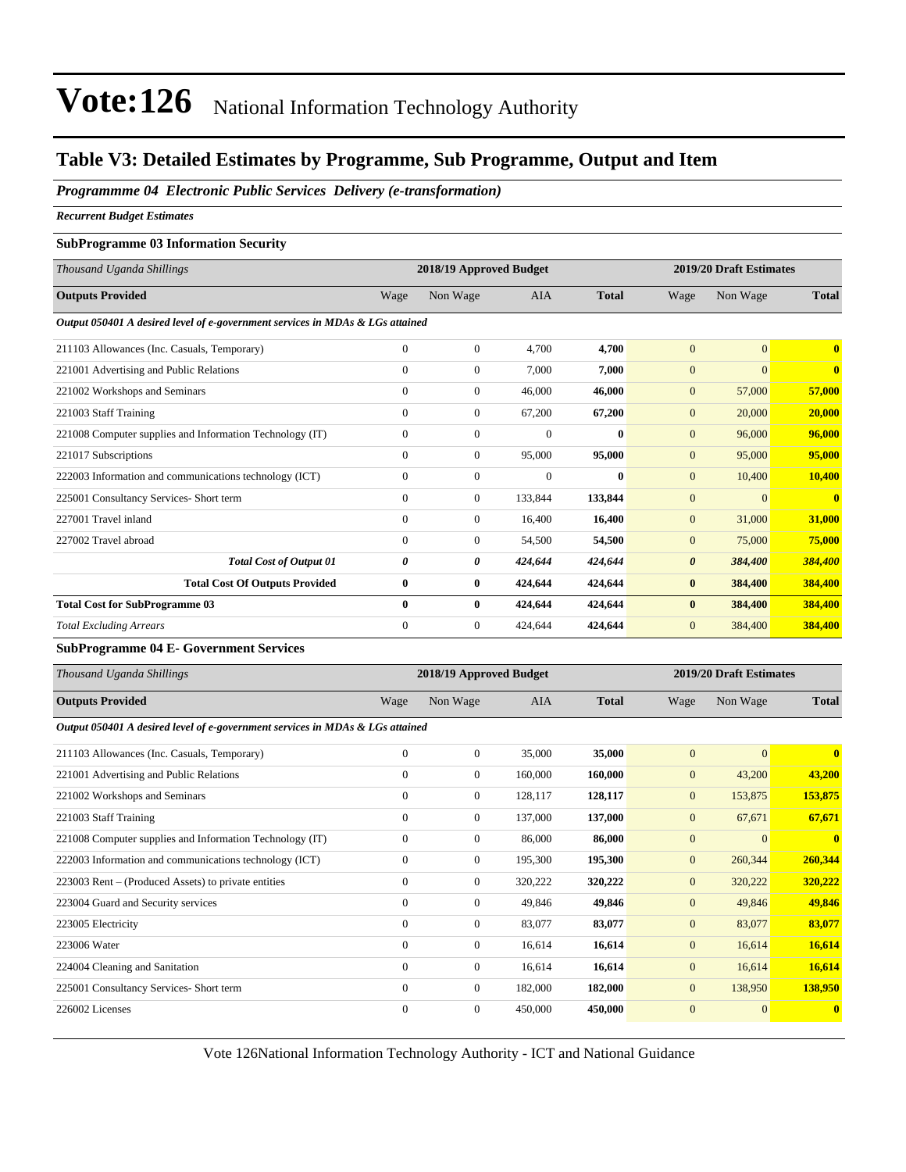#### **Table V3: Detailed Estimates by Programme, Sub Programme, Output and Item**

*Programmme 04 Electronic Public Services Delivery (e-transformation)*

*Recurrent Budget Estimates*

#### **SubProgramme 03 Information Security**

| Thousand Uganda Shillings                                                     |                | 2018/19 Approved Budget |            |              |                | 2019/20 Draft Estimates |              |
|-------------------------------------------------------------------------------|----------------|-------------------------|------------|--------------|----------------|-------------------------|--------------|
| <b>Outputs Provided</b>                                                       | Wage           | Non Wage                | <b>AIA</b> | <b>Total</b> | Wage           | Non Wage                | <b>Total</b> |
| Output 050401 A desired level of e-government services in MDAs & LGs attained |                |                         |            |              |                |                         |              |
| 211103 Allowances (Inc. Casuals, Temporary)                                   | $\mathbf{0}$   | $\mathbf{0}$            | 4.700      | 4.700        | $\overline{0}$ | $\overline{0}$          | $\mathbf{0}$ |
| 221001 Advertising and Public Relations                                       | $\Omega$       | $\mathbf{0}$            | 7.000      | 7,000        | $\mathbf{0}$   | $\Omega$                | $\bf{0}$     |
| 221002 Workshops and Seminars                                                 | $\theta$       | $\mathbf{0}$            | 46,000     | 46,000       | $\mathbf{0}$   | 57,000                  | 57,000       |
| 221003 Staff Training                                                         | $\theta$       | $\mathbf{0}$            | 67,200     | 67,200       | $\overline{0}$ | 20,000                  | 20,000       |
| 221008 Computer supplies and Information Technology (IT)                      | $\theta$       | $\overline{0}$          | $\Omega$   | $\mathbf{0}$ | $\overline{0}$ | 96,000                  | 96,000       |
| 221017 Subscriptions                                                          | $\overline{0}$ | $\mathbf{0}$            | 95,000     | 95,000       | $\overline{0}$ | 95,000                  | 95,000       |
| 222003 Information and communications technology (ICT)                        | $\theta$       | $\mathbf{0}$            | $\Omega$   | $\mathbf{0}$ | $\mathbf{0}$   | 10,400                  | 10,400       |
| 225001 Consultancy Services- Short term                                       | $\theta$       | $\boldsymbol{0}$        | 133,844    | 133,844      | $\mathbf{0}$   | $\mathbf{0}$            | $\bf{0}$     |
| 227001 Travel inland                                                          | $\mathbf{0}$   | $\mathbf{0}$            | 16,400     | 16,400       | $\mathbf{0}$   | 31,000                  | 31,000       |
| 227002 Travel abroad                                                          | $\Omega$       | $\mathbf{0}$            | 54,500     | 54,500       | $\mathbf{0}$   | 75,000                  | 75,000       |
| <b>Total Cost of Output 01</b>                                                | 0              | 0                       | 424,644    | 424,644      | 0              | 384,400                 | 384,400      |
| <b>Total Cost Of Outputs Provided</b>                                         | $\bf{0}$       | $\bf{0}$                | 424,644    | 424,644      | $\bf{0}$       | 384,400                 | 384,400      |
| <b>Total Cost for SubProgramme 03</b>                                         | $\bf{0}$       | $\bf{0}$                | 424,644    | 424,644      | $\bf{0}$       | 384,400                 | 384,400      |
| <b>Total Excluding Arrears</b>                                                | $\mathbf{0}$   | $\mathbf{0}$            | 424,644    | 424,644      | $\mathbf{0}$   | 384,400                 | 384,400      |

#### **SubProgramme 04 E- Government Services**

| Thousand Uganda Shillings                                                     |                | 2018/19 Approved Budget |         |              |                | 2019/20 Draft Estimates |                         |  |  |
|-------------------------------------------------------------------------------|----------------|-------------------------|---------|--------------|----------------|-------------------------|-------------------------|--|--|
| <b>Outputs Provided</b>                                                       | Wage           | Non Wage                | AIA     | <b>Total</b> | Wage           | Non Wage                | <b>Total</b>            |  |  |
| Output 050401 A desired level of e-government services in MDAs & LGs attained |                |                         |         |              |                |                         |                         |  |  |
| 211103 Allowances (Inc. Casuals, Temporary)                                   | $\mathbf{0}$   | $\overline{0}$          | 35,000  | 35,000       | $\overline{0}$ | $\overline{0}$          | $\mathbf{0}$            |  |  |
| 221001 Advertising and Public Relations                                       | $\mathbf{0}$   | $\overline{0}$          | 160,000 | 160,000      | $\overline{0}$ | 43,200                  | 43,200                  |  |  |
| 221002 Workshops and Seminars                                                 | $\mathbf{0}$   | $\overline{0}$          | 128,117 | 128,117      | $\mathbf{0}$   | 153,875                 | 153,875                 |  |  |
| 221003 Staff Training                                                         | $\mathbf{0}$   | $\overline{0}$          | 137,000 | 137,000      | $\mathbf{0}$   | 67,671                  | 67,671                  |  |  |
| 221008 Computer supplies and Information Technology (IT)                      | $\mathbf{0}$   | $\overline{0}$          | 86,000  | 86,000       | $\overline{0}$ | $\overline{0}$          | $\overline{\mathbf{0}}$ |  |  |
| 222003 Information and communications technology (ICT)                        | $\mathbf{0}$   | $\overline{0}$          | 195,300 | 195,300      | $\mathbf{0}$   | 260,344                 | 260,344                 |  |  |
| 223003 Rent – (Produced Assets) to private entities                           | $\mathbf{0}$   | $\overline{0}$          | 320,222 | 320,222      | $\overline{0}$ | 320,222                 | 320,222                 |  |  |
| 223004 Guard and Security services                                            | $\mathbf{0}$   | $\overline{0}$          | 49,846  | 49,846       | $\overline{0}$ | 49,846                  | 49,846                  |  |  |
| 223005 Electricity                                                            | $\overline{0}$ | $\overline{0}$          | 83,077  | 83,077       | $\mathbf{0}$   | 83,077                  | 83,077                  |  |  |
| 223006 Water                                                                  | $\mathbf{0}$   | $\overline{0}$          | 16,614  | 16,614       | $\mathbf{0}$   | 16,614                  | 16,614                  |  |  |
| 224004 Cleaning and Sanitation                                                | $\mathbf{0}$   | $\overline{0}$          | 16,614  | 16,614       | $\mathbf{0}$   | 16,614                  | 16,614                  |  |  |
| 225001 Consultancy Services- Short term                                       | $\mathbf{0}$   | $\overline{0}$          | 182,000 | 182,000      | $\overline{0}$ | 138,950                 | 138,950                 |  |  |
| 226002 Licenses                                                               | $\mathbf{0}$   | $\overline{0}$          | 450,000 | 450,000      | $\overline{0}$ | $\mathbf{0}$            | $\overline{\mathbf{0}}$ |  |  |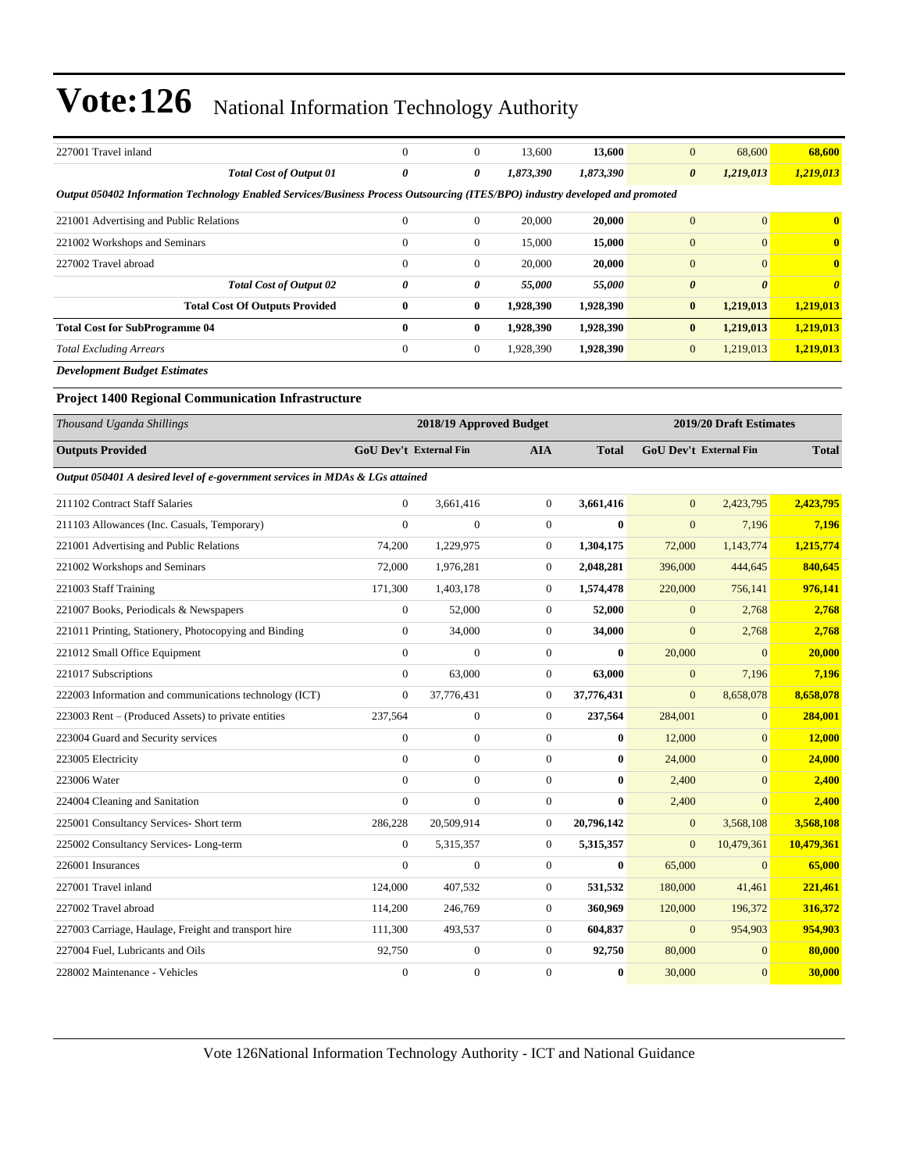| 227001 Travel inland                                                                                                          | $\boldsymbol{0}$              | $\boldsymbol{0}$        | 13,600           | 13,600       | $\mathbf{0}$           | 68,600                  | 68,600                |
|-------------------------------------------------------------------------------------------------------------------------------|-------------------------------|-------------------------|------------------|--------------|------------------------|-------------------------|-----------------------|
| <b>Total Cost of Output 01</b>                                                                                                | $\boldsymbol{\theta}$         | 0                       | 1,873,390        | 1,873,390    | $\boldsymbol{\theta}$  | 1,219,013               | 1,219,013             |
| Output 050402 Information Technology Enabled Services/Business Process Outsourcing (ITES/BPO) industry developed and promoted |                               |                         |                  |              |                        |                         |                       |
| 221001 Advertising and Public Relations                                                                                       | $\overline{0}$                | $\boldsymbol{0}$        | 20,000           | 20,000       | $\mathbf{0}$           | $\overline{0}$          | $\bf{0}$              |
| 221002 Workshops and Seminars                                                                                                 | $\overline{0}$                | $\boldsymbol{0}$        | 15,000           | 15,000       | $\boldsymbol{0}$       | $\overline{0}$          | $\bf{0}$              |
| 227002 Travel abroad                                                                                                          | $\mathbf{0}$                  | $\boldsymbol{0}$        | 20,000           | 20,000       | $\mathbf{0}$           | $\overline{0}$          | $\bf{0}$              |
| <b>Total Cost of Output 02</b>                                                                                                | 0                             | 0                       | 55,000           | 55,000       | 0                      | $\boldsymbol{\theta}$   | $\boldsymbol{\theta}$ |
| <b>Total Cost Of Outputs Provided</b>                                                                                         | $\bf{0}$                      | $\bf{0}$                | 1,928,390        | 1,928,390    | $\bf{0}$               | 1,219,013               | 1,219,013             |
| <b>Total Cost for SubProgramme 04</b>                                                                                         | $\bf{0}$                      | $\bf{0}$                | 1,928,390        | 1,928,390    | $\bf{0}$               | 1,219,013               | 1,219,013             |
| <b>Total Excluding Arrears</b>                                                                                                | $\overline{0}$                | $\boldsymbol{0}$        | 1,928,390        | 1,928,390    | $\mathbf{0}$           | 1,219,013               | 1,219,013             |
| <b>Development Budget Estimates</b>                                                                                           |                               |                         |                  |              |                        |                         |                       |
| <b>Project 1400 Regional Communication Infrastructure</b>                                                                     |                               |                         |                  |              |                        |                         |                       |
| Thousand Uganda Shillings                                                                                                     |                               | 2018/19 Approved Budget |                  |              |                        | 2019/20 Draft Estimates |                       |
| <b>Outputs Provided</b>                                                                                                       | <b>GoU Dev't External Fin</b> |                         | <b>AIA</b>       | <b>Total</b> | GoU Dev't External Fin |                         | <b>Total</b>          |
| Output 050401 A desired level of e-government services in MDAs & LGs attained                                                 |                               |                         |                  |              |                        |                         |                       |
| 211102 Contract Staff Salaries                                                                                                | $\mathbf{0}$                  | 3,661,416               | $\overline{0}$   | 3,661,416    | $\mathbf{0}$           | 2,423,795               | 2.423.795             |
| 211103 Allowances (Inc. Casuals, Temporary)                                                                                   | $\mathbf{0}$                  | $\overline{0}$          | $\boldsymbol{0}$ | $\bf{0}$     | $\mathbf{0}$           | 7,196                   | 7,196                 |
| 221001 Advertising and Public Relations                                                                                       | 74,200                        | 1,229,975               | 0                | 1,304,175    | 72,000                 | 1,143,774               | 1,215,774             |
| 221002 Workshops and Seminars                                                                                                 | 72,000                        | 1,976,281               | $\boldsymbol{0}$ | 2,048,281    | 396,000                | 444,645                 | 840,645               |
| 221003 Staff Training                                                                                                         | 171,300                       | 1,403,178               | $\boldsymbol{0}$ | 1,574,478    | 220,000                | 756,141                 | 976,141               |
| 221007 Books, Periodicals & Newspapers                                                                                        | $\mathbf{0}$                  | 52,000                  | $\boldsymbol{0}$ | 52,000       | $\mathbf{0}$           | 2,768                   | 2,768                 |
| 221011 Printing, Stationery, Photocopying and Binding                                                                         | $\boldsymbol{0}$              | 34,000                  | $\boldsymbol{0}$ | 34,000       | $\mathbf{0}$           | 2,768                   | 2,768                 |
| 221012 Small Office Equipment                                                                                                 | $\overline{0}$                | $\boldsymbol{0}$        | $\boldsymbol{0}$ | $\bf{0}$     | 20,000                 | $\mathbf{0}$            | 20,000                |
| 221017 Subscriptions                                                                                                          | $\mathbf{0}$                  | 63,000                  | $\boldsymbol{0}$ | 63,000       | $\mathbf{0}$           | 7,196                   | 7,196                 |
| 222003 Information and communications technology (ICT)                                                                        | $\mathbf{0}$                  | 37,776,431              | $\boldsymbol{0}$ | 37,776,431   | $\mathbf{0}$           | 8,658,078               | 8,658,078             |
| 223003 Rent – (Produced Assets) to private entities                                                                           | 237,564                       | $\boldsymbol{0}$        | $\boldsymbol{0}$ | 237,564      | 284,001                | $\overline{0}$          | 284,001               |
| 223004 Guard and Security services                                                                                            | $\boldsymbol{0}$              | $\boldsymbol{0}$        | $\boldsymbol{0}$ | $\bf{0}$     | 12,000                 | $\overline{0}$          | 12,000                |
| 223005 Electricity                                                                                                            | $\overline{0}$                | $\boldsymbol{0}$        | $\boldsymbol{0}$ | $\bf{0}$     | 24,000                 | $\overline{0}$          | 24,000                |
| 223006 Water                                                                                                                  | $\boldsymbol{0}$              | $\boldsymbol{0}$        | $\boldsymbol{0}$ | $\bf{0}$     | 2,400                  | $\overline{0}$          | 2,400                 |
| 224004 Cleaning and Sanitation                                                                                                | $\boldsymbol{0}$              | $\mathbf{0}$            | $\boldsymbol{0}$ | $\bf{0}$     | 2,400                  | $\mathbf{0}$            | 2,400                 |
| 225001 Consultancy Services- Short term                                                                                       | 286,228                       | 20,509,914              | $\boldsymbol{0}$ | 20,796,142   | $\boldsymbol{0}$       | 3,568,108               | 3,568,108             |
| 225002 Consultancy Services-Long-term                                                                                         | $\boldsymbol{0}$              | 5,315,357               | $\boldsymbol{0}$ | 5,315,357    | $\boldsymbol{0}$       | 10,479,361              | 10,479,361            |
| 226001 Insurances                                                                                                             | $\boldsymbol{0}$              | $\boldsymbol{0}$        | 0                | $\bf{0}$     | 65,000                 | $\mathbf{0}$            | 65,000                |
| 227001 Travel inland                                                                                                          | 124,000                       | 407,532                 | 0                | 531,532      | 180,000                | 41,461                  | 221,461               |
| 227002 Travel abroad                                                                                                          | 114,200                       | 246,769                 | 0                | 360,969      | 120,000                | 196,372                 | 316,372               |
| 227003 Carriage, Haulage, Freight and transport hire                                                                          | 111,300                       | 493,537                 | $\boldsymbol{0}$ | 604,837      | $\boldsymbol{0}$       | 954,903                 | 954,903               |
| 227004 Fuel, Lubricants and Oils                                                                                              | 92,750                        | $\boldsymbol{0}$        | $\boldsymbol{0}$ | 92,750       | 80,000                 | $\boldsymbol{0}$        | 80,000                |
| 228002 Maintenance - Vehicles                                                                                                 | $\boldsymbol{0}$              | $\boldsymbol{0}$        | $\boldsymbol{0}$ | $\bf{0}$     | 30,000                 | $\mathbf{0}$            | 30,000                |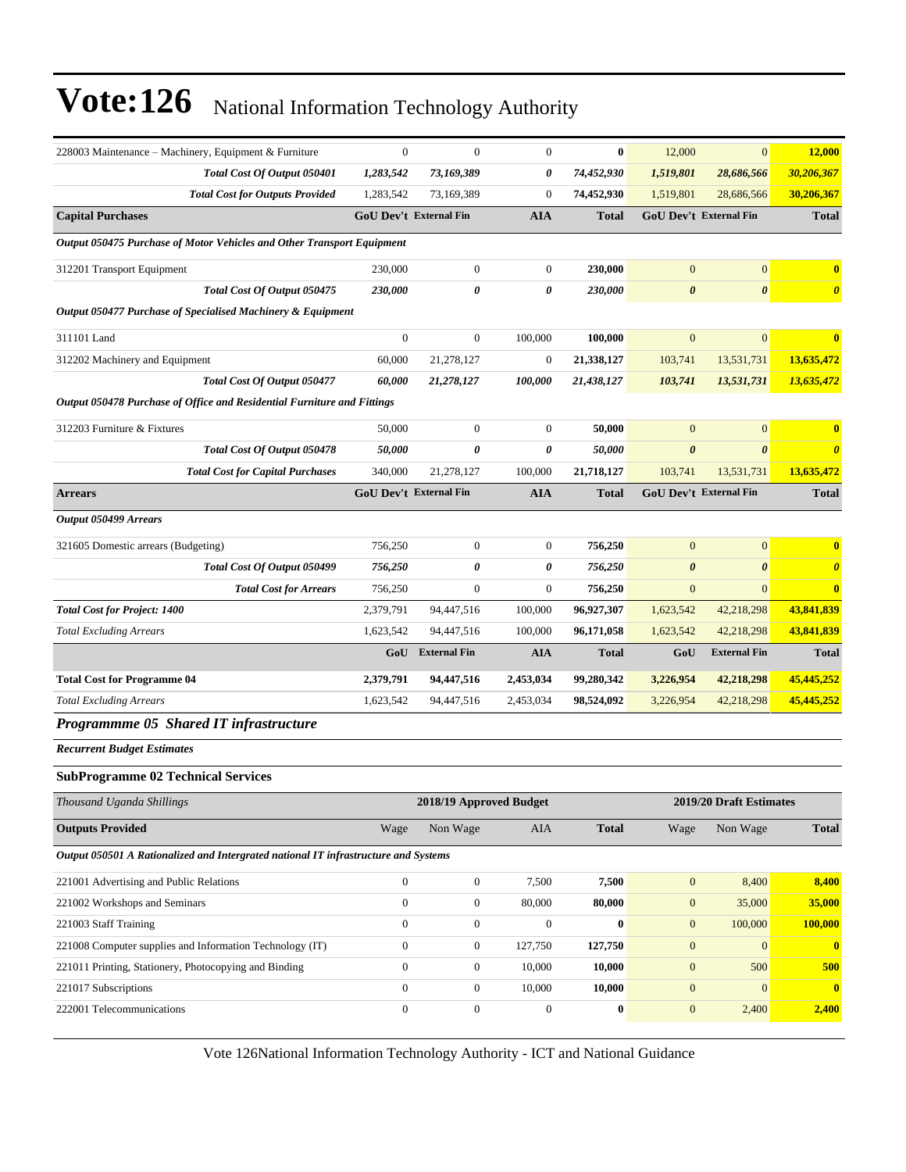| 228003 Maintenance - Machinery, Equipment & Furniture                               | $\boldsymbol{0}$ | $\mathbf{0}$            | $\boldsymbol{0}$ | $\bf{0}$     | 12,000                | $\boldsymbol{0}$              | 12,000                |
|-------------------------------------------------------------------------------------|------------------|-------------------------|------------------|--------------|-----------------------|-------------------------------|-----------------------|
| Total Cost Of Output 050401                                                         | 1,283,542        | 73,169,389              | 0                | 74,452,930   | 1,519,801             | 28,686,566                    | 30,206,367            |
| <b>Total Cost for Outputs Provided</b>                                              | 1,283,542        | 73,169,389              | $\boldsymbol{0}$ | 74,452,930   | 1,519,801             | 28,686,566                    | 30,206,367            |
| <b>Capital Purchases</b>                                                            |                  | GoU Dev't External Fin  | <b>AIA</b>       | <b>Total</b> |                       | GoU Dev't External Fin        | <b>Total</b>          |
| Output 050475 Purchase of Motor Vehicles and Other Transport Equipment              |                  |                         |                  |              |                       |                               |                       |
| 312201 Transport Equipment                                                          | 230,000          | $\boldsymbol{0}$        | $\mathbf{0}$     | 230,000      | $\mathbf{0}$          | $\overline{0}$                | $\bf{0}$              |
| Total Cost Of Output 050475                                                         | 230,000          | 0                       | 0                | 230,000      | $\boldsymbol{\theta}$ | $\boldsymbol{\theta}$         | $\boldsymbol{\theta}$ |
| Output 050477 Purchase of Specialised Machinery & Equipment                         |                  |                         |                  |              |                       |                               |                       |
| 311101 Land                                                                         | $\boldsymbol{0}$ | $\boldsymbol{0}$        | 100,000          | 100,000      | $\mathbf{0}$          | $\overline{0}$                | $\bf{0}$              |
| 312202 Machinery and Equipment                                                      | 60,000           | 21,278,127              | $\mathbf{0}$     | 21,338,127   | 103,741               | 13,531,731                    | 13,635,472            |
| Total Cost Of Output 050477                                                         | 60,000           | 21,278,127              | 100,000          | 21,438,127   | 103,741               | 13,531,731                    | 13,635,472            |
| Output 050478 Purchase of Office and Residential Furniture and Fittings             |                  |                         |                  |              |                       |                               |                       |
| 312203 Furniture & Fixtures                                                         | 50,000           | $\boldsymbol{0}$        | $\mathbf{0}$     | 50,000       | $\mathbf{0}$          | $\boldsymbol{0}$              | $\bf{0}$              |
| Total Cost Of Output 050478                                                         | 50,000           | 0                       | 0                | 50,000       | $\boldsymbol{\theta}$ | $\boldsymbol{\theta}$         | $\boldsymbol{\theta}$ |
| <b>Total Cost for Capital Purchases</b>                                             | 340,000          | 21,278,127              | 100,000          | 21,718,127   | 103,741               | 13,531,731                    | 13,635,472            |
| <b>Arrears</b>                                                                      |                  | GoU Dev't External Fin  | <b>AIA</b>       | <b>Total</b> |                       | <b>GoU Dev't External Fin</b> | <b>Total</b>          |
| Output 050499 Arrears                                                               |                  |                         |                  |              |                       |                               |                       |
| 321605 Domestic arrears (Budgeting)                                                 | 756,250          | $\boldsymbol{0}$        | $\boldsymbol{0}$ | 756,250      | $\mathbf{0}$          | $\boldsymbol{0}$              | $\bf{0}$              |
| Total Cost Of Output 050499                                                         | 756,250          | 0                       | 0                | 756,250      | $\boldsymbol{\theta}$ | $\boldsymbol{\theta}$         | $\boldsymbol{\theta}$ |
| <b>Total Cost for Arrears</b>                                                       | 756,250          | $\boldsymbol{0}$        | $\boldsymbol{0}$ | 756,250      | $\mathbf{0}$          | $\overline{0}$                | $\bf{0}$              |
| <b>Total Cost for Project: 1400</b>                                                 | 2,379,791        | 94,447,516              | 100,000          | 96,927,307   | 1,623,542             | 42,218,298                    | 43,841,839            |
| <b>Total Excluding Arrears</b>                                                      | 1,623,542        | 94,447,516              | 100,000          | 96,171,058   | 1,623,542             | 42,218,298                    | 43,841,839            |
|                                                                                     | GoU              | <b>External Fin</b>     | <b>AIA</b>       | <b>Total</b> | GoU                   | <b>External Fin</b>           | <b>Total</b>          |
| <b>Total Cost for Programme 04</b>                                                  | 2,379,791        | 94,447,516              | 2,453,034        | 99,280,342   | 3,226,954             | 42,218,298                    | 45,445,252            |
| <b>Total Excluding Arrears</b>                                                      | 1,623,542        | 94,447,516              | 2,453,034        | 98,524,092   | 3,226,954             | 42,218,298                    | 45,445,252            |
| Programmme 05 Shared IT infrastructure                                              |                  |                         |                  |              |                       |                               |                       |
| <b>Recurrent Budget Estimates</b>                                                   |                  |                         |                  |              |                       |                               |                       |
| <b>SubProgramme 02 Technical Services</b>                                           |                  |                         |                  |              |                       |                               |                       |
| Thousand Uganda Shillings                                                           |                  | 2018/19 Approved Budget |                  |              |                       | 2019/20 Draft Estimates       |                       |
| <b>Outputs Provided</b>                                                             | Wage             | Non Wage                | AIA              | <b>Total</b> | Wage                  | Non Wage                      | <b>Total</b>          |
| Output 050501 A Rationalized and Intergrated national IT infrastructure and Systems |                  |                         |                  |              |                       |                               |                       |
| 221001 Advertising and Public Relations                                             | $\boldsymbol{0}$ | $\boldsymbol{0}$        | 7,500            | 7,500        | $\boldsymbol{0}$      | 8,400                         | 8,400                 |
| 221002 Workshops and Seminars                                                       | $\boldsymbol{0}$ | $\boldsymbol{0}$        | 80,000           | 80,000       | $\mathbf{0}$          | 35,000                        | 35,000                |
| 221003 Staff Training                                                               | $\boldsymbol{0}$ | $\boldsymbol{0}$        | $\overline{0}$   | $\bf{0}$     | $\mathbf{0}$          | 100,000                       | 100,000               |
| 221008 Computer supplies and Information Technology (IT)                            | $\boldsymbol{0}$ | $\boldsymbol{0}$        | 127,750          | 127,750      | $\boldsymbol{0}$      | $\mathbf{0}$                  | $\mathbf{0}$          |
| 221011 Printing, Stationery, Photocopying and Binding                               | $\boldsymbol{0}$ | $\boldsymbol{0}$        | 10,000           | 10,000       | $\mathbf{0}$          | 500                           | 500                   |
| 221017 Subscriptions                                                                | $\boldsymbol{0}$ | $\boldsymbol{0}$        | 10,000           | 10,000       | $\mathbf{0}$          | $\boldsymbol{0}$              | $\mathbf{0}$          |
| 222001 Telecommunications                                                           | $\boldsymbol{0}$ | $\boldsymbol{0}$        | $\mathbf{0}$     | $\bf{0}$     | $\boldsymbol{0}$      | 2,400                         | 2,400                 |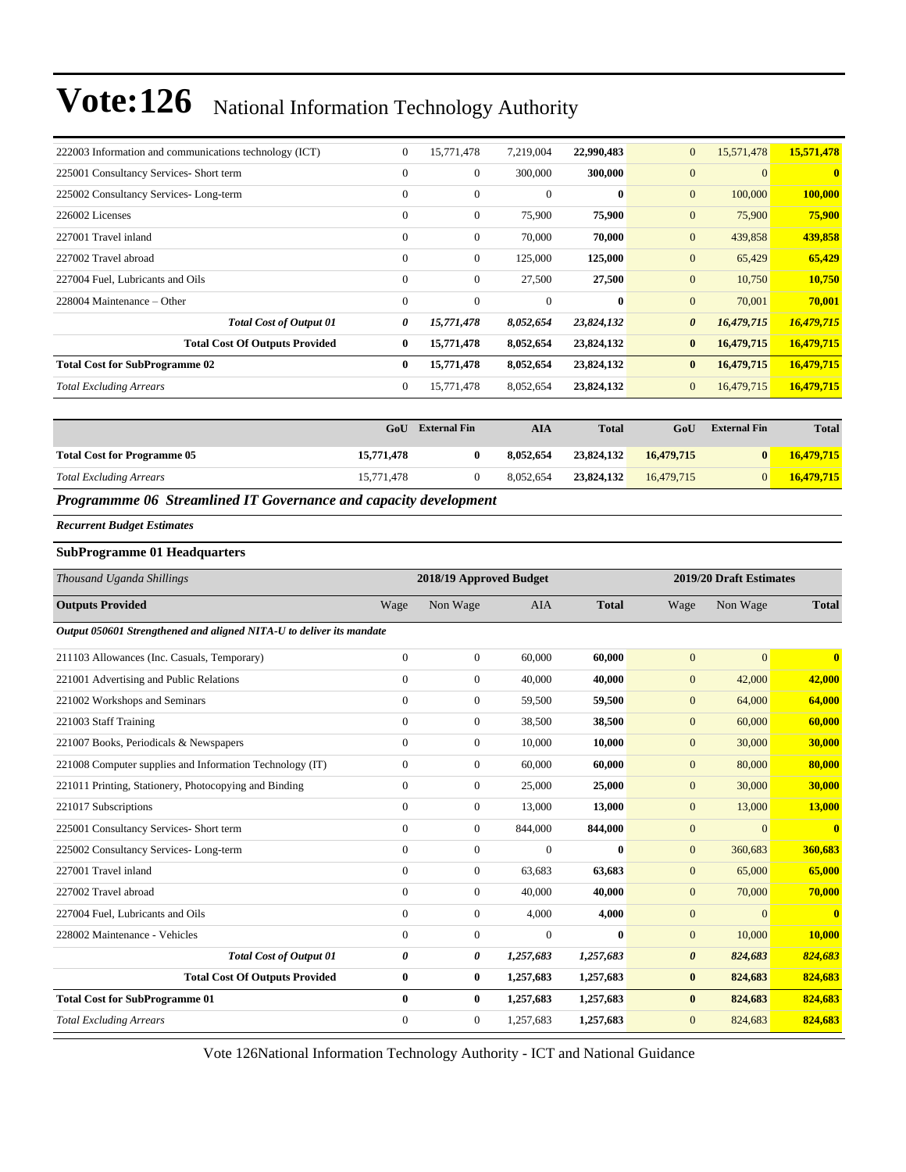| 222003 Information and communications technology (ICT) | $\mathbf{0}$ | 15,771,478     | 7,219,004    | 22,990,483 | $\mathbf{0}$          | 15,571,478 | 15,571,478   |
|--------------------------------------------------------|--------------|----------------|--------------|------------|-----------------------|------------|--------------|
| 225001 Consultancy Services- Short term                | $\mathbf{0}$ | $\overline{0}$ | 300,000      | 300,000    | $\overline{0}$        | $\Omega$   | $\mathbf{0}$ |
| 225002 Consultancy Services-Long-term                  | $\mathbf{0}$ | $\mathbf{0}$   | $\mathbf{0}$ | $\bf{0}$   | $\mathbf{0}$          | 100,000    | 100,000      |
| 226002 Licenses                                        | $\mathbf{0}$ | $\overline{0}$ | 75,900       | 75,900     | $\mathbf{0}$          | 75,900     | 75,900       |
| 227001 Travel inland                                   | $\mathbf{0}$ | $\overline{0}$ | 70,000       | 70,000     | $\mathbf{0}$          | 439,858    | 439,858      |
| 227002 Travel abroad                                   | $\mathbf{0}$ | 0              | 125,000      | 125,000    | $\mathbf{0}$          | 65,429     | 65,429       |
| 227004 Fuel, Lubricants and Oils                       | $\mathbf{0}$ | $\overline{0}$ | 27,500       | 27,500     | $\mathbf{0}$          | 10,750     | 10,750       |
| 228004 Maintenance – Other                             | $\mathbf{0}$ | $\overline{0}$ | $\Omega$     | $\bf{0}$   | $\mathbf{0}$          | 70,001     | 70,001       |
| <b>Total Cost of Output 01</b>                         | 0            | 15,771,478     | 8,052,654    | 23,824,132 | $\boldsymbol{\theta}$ | 16,479,715 | 16,479,715   |
| <b>Total Cost Of Outputs Provided</b>                  | $\bf{0}$     | 15,771,478     | 8,052,654    | 23,824,132 | $\bf{0}$              | 16,479,715 | 16,479,715   |
| <b>Total Cost for SubProgramme 02</b>                  | $\bf{0}$     | 15,771,478     | 8,052,654    | 23,824,132 | $\bf{0}$              | 16,479,715 | 16,479,715   |
| <b>Total Excluding Arrears</b>                         | $\mathbf{0}$ | 15,771,478     | 8,052,654    | 23,824,132 | $\mathbf{0}$          | 16,479,715 | 16,479,715   |

|                                    | GoU        | <b>External Fin</b> | AIA       | <b>Total</b> | GoU        | <b>External Fin</b> | <b>Total</b> |
|------------------------------------|------------|---------------------|-----------|--------------|------------|---------------------|--------------|
| <b>Total Cost for Programme 05</b> | 15,771,478 |                     | 8.052.654 | 23.824.132   | 16.479.715 |                     | 16,479,715   |
| <b>Total Excluding Arrears</b>     | 15,771,478 |                     | 8.052.654 | 23,824,132   | 16.479.715 |                     | 16,479,715   |

*Programmme 06 Streamlined IT Governance and capacity development*

#### *Recurrent Budget Estimates*

#### **SubProgramme 01 Headquarters**

| Thousand Uganda Shillings                                            |                | 2018/19 Approved Budget |                |              |                       | 2019/20 Draft Estimates |                         |
|----------------------------------------------------------------------|----------------|-------------------------|----------------|--------------|-----------------------|-------------------------|-------------------------|
| <b>Outputs Provided</b>                                              | Wage           | Non Wage                | <b>AIA</b>     | <b>Total</b> | Wage                  | Non Wage                | <b>Total</b>            |
| Output 050601 Strengthened and aligned NITA-U to deliver its mandate |                |                         |                |              |                       |                         |                         |
| 211103 Allowances (Inc. Casuals, Temporary)                          | $\overline{0}$ | $\mathbf{0}$            | 60,000         | 60,000       | $\overline{0}$        | $\overline{0}$          | $\mathbf{0}$            |
| 221001 Advertising and Public Relations                              | $\mathbf{0}$   | $\overline{0}$          | 40,000         | 40,000       | $\mathbf{0}$          | 42,000                  | 42,000                  |
| 221002 Workshops and Seminars                                        | $\mathbf{0}$   | $\boldsymbol{0}$        | 59,500         | 59,500       | $\mathbf{0}$          | 64,000                  | 64,000                  |
| 221003 Staff Training                                                | $\mathbf{0}$   | $\overline{0}$          | 38,500         | 38,500       | $\mathbf{0}$          | 60,000                  | 60,000                  |
| 221007 Books, Periodicals & Newspapers                               | $\mathbf{0}$   | $\boldsymbol{0}$        | 10,000         | 10,000       | $\mathbf{0}$          | 30,000                  | 30,000                  |
| 221008 Computer supplies and Information Technology (IT)             | $\mathbf{0}$   | $\overline{0}$          | 60,000         | 60,000       | $\boldsymbol{0}$      | 80,000                  | 80,000                  |
| 221011 Printing, Stationery, Photocopying and Binding                | $\mathbf{0}$   | $\boldsymbol{0}$        | 25,000         | 25,000       | $\mathbf{0}$          | 30,000                  | 30,000                  |
| 221017 Subscriptions                                                 | $\mathbf{0}$   | $\boldsymbol{0}$        | 13.000         | 13,000       | $\mathbf{0}$          | 13,000                  | 13,000                  |
| 225001 Consultancy Services- Short term                              | $\mathbf{0}$   | $\overline{0}$          | 844,000        | 844,000      | $\boldsymbol{0}$      | $\overline{0}$          | $\overline{\mathbf{0}}$ |
| 225002 Consultancy Services-Long-term                                | $\mathbf{0}$   | $\boldsymbol{0}$        | $\Omega$       | $\mathbf{0}$ | $\mathbf{0}$          | 360,683                 | 360,683                 |
| 227001 Travel inland                                                 | $\Omega$       | $\mathbf{0}$            | 63,683         | 63,683       | $\mathbf{0}$          | 65,000                  | 65,000                  |
| 227002 Travel abroad                                                 | $\overline{0}$ | $\boldsymbol{0}$        | 40,000         | 40,000       | $\mathbf{0}$          | 70,000                  | 70,000                  |
| 227004 Fuel, Lubricants and Oils                                     | $\mathbf{0}$   | $\boldsymbol{0}$        | 4,000          | 4,000        | $\mathbf{0}$          | $\overline{0}$          | $\overline{\mathbf{0}}$ |
| 228002 Maintenance - Vehicles                                        | $\mathbf{0}$   | $\overline{0}$          | $\overline{0}$ | $\mathbf{0}$ | $\mathbf{0}$          | 10,000                  | 10,000                  |
| <b>Total Cost of Output 01</b>                                       | 0              | 0                       | 1,257,683      | 1,257,683    | $\boldsymbol{\theta}$ | 824,683                 | 824,683                 |
| <b>Total Cost Of Outputs Provided</b>                                | $\bf{0}$       | $\bf{0}$                | 1,257,683      | 1,257,683    | $\bf{0}$              | 824,683                 | 824,683                 |
| <b>Total Cost for SubProgramme 01</b>                                | $\mathbf{0}$   | $\bf{0}$                | 1,257,683      | 1,257,683    | $\bf{0}$              | 824,683                 | 824,683                 |
| <b>Total Excluding Arrears</b>                                       | $\mathbf{0}$   | $\mathbf{0}$            | 1,257,683      | 1,257,683    | $\mathbf{0}$          | 824,683                 | 824,683                 |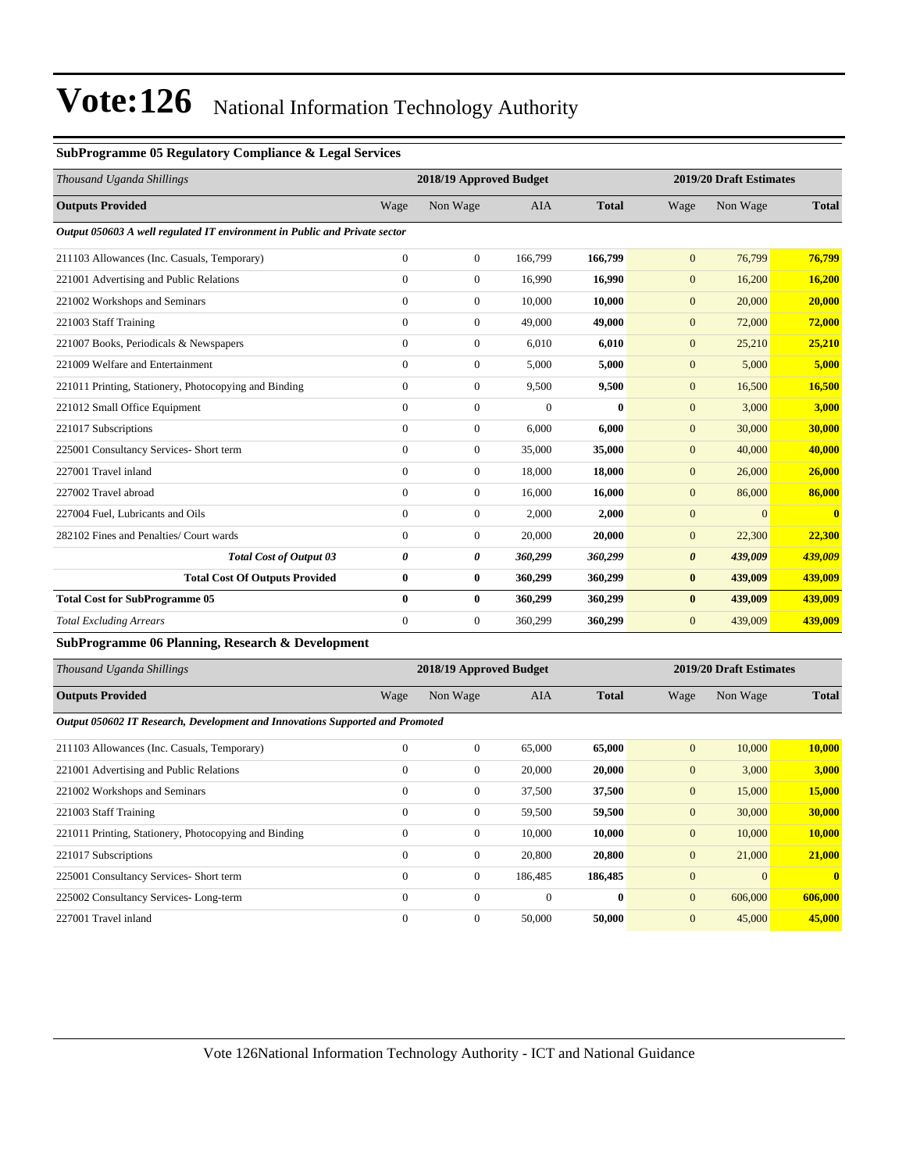#### **SubProgramme 05 Regulatory Compliance & Legal Services**

| Thousand Uganda Shillings                                                  |                | 2018/19 Approved Budget |              |              |                       | 2019/20 Draft Estimates |                         |
|----------------------------------------------------------------------------|----------------|-------------------------|--------------|--------------|-----------------------|-------------------------|-------------------------|
| <b>Outputs Provided</b>                                                    | Wage           | Non Wage                | <b>AIA</b>   | <b>Total</b> | Wage                  | Non Wage                | <b>Total</b>            |
| Output 050603 A well regulated IT environment in Public and Private sector |                |                         |              |              |                       |                         |                         |
| 211103 Allowances (Inc. Casuals, Temporary)                                | $\overline{0}$ | $\boldsymbol{0}$        | 166,799      | 166,799      | $\mathbf{0}$          | 76,799                  | 76,799                  |
| 221001 Advertising and Public Relations                                    | $\mathbf{0}$   | $\mathbf{0}$            | 16.990       | 16,990       | $\overline{0}$        | 16,200                  | 16,200                  |
| 221002 Workshops and Seminars                                              | $\overline{0}$ | $\boldsymbol{0}$        | 10,000       | 10,000       | $\mathbf{0}$          | 20,000                  | 20,000                  |
| 221003 Staff Training                                                      | $\overline{0}$ | $\mathbf{0}$            | 49,000       | 49,000       | $\mathbf{0}$          | 72,000                  | 72,000                  |
| 221007 Books, Periodicals & Newspapers                                     | $\overline{0}$ | $\mathbf{0}$            | 6.010        | 6,010        | $\overline{0}$        | 25,210                  | 25,210                  |
| 221009 Welfare and Entertainment                                           | $\overline{0}$ | $\boldsymbol{0}$        | 5,000        | 5,000        | $\mathbf{0}$          | 5,000                   | 5,000                   |
| 221011 Printing, Stationery, Photocopying and Binding                      | $\overline{0}$ | $\mathbf{0}$            | 9,500        | 9,500        | $\mathbf{0}$          | 16,500                  | 16,500                  |
| 221012 Small Office Equipment                                              | $\overline{0}$ | $\overline{0}$          | $\mathbf{0}$ | $\mathbf{0}$ | $\overline{0}$        | 3,000                   | 3,000                   |
| 221017 Subscriptions                                                       | $\overline{0}$ | $\boldsymbol{0}$        | 6,000        | 6,000        | $\mathbf{0}$          | 30,000                  | 30,000                  |
| 225001 Consultancy Services- Short term                                    | $\overline{0}$ | $\mathbf{0}$            | 35,000       | 35,000       | $\overline{0}$        | 40,000                  | 40,000                  |
| 227001 Travel inland                                                       | $\overline{0}$ | $\overline{0}$          | 18,000       | 18,000       | $\mathbf{0}$          | 26,000                  | 26,000                  |
| 227002 Travel abroad                                                       | $\overline{0}$ | $\boldsymbol{0}$        | 16,000       | 16,000       | $\mathbf{0}$          | 86,000                  | 86,000                  |
| 227004 Fuel, Lubricants and Oils                                           | $\overline{0}$ | $\overline{0}$          | 2,000        | 2,000        | $\overline{0}$        | $\overline{0}$          | $\overline{\mathbf{0}}$ |
| 282102 Fines and Penalties/ Court wards                                    | $\mathbf{0}$   | $\boldsymbol{0}$        | 20,000       | 20,000       | $\mathbf{0}$          | 22,300                  | 22,300                  |
| <b>Total Cost of Output 03</b>                                             | 0              | 0                       | 360,299      | 360,299      | $\boldsymbol{\theta}$ | 439,009                 | 439,009                 |
| <b>Total Cost Of Outputs Provided</b>                                      | $\bf{0}$       | $\bf{0}$                | 360,299      | 360,299      | $\bf{0}$              | 439,009                 | 439,009                 |
| <b>Total Cost for SubProgramme 05</b>                                      | $\mathbf{0}$   | 0                       | 360,299      | 360,299      | $\bf{0}$              | 439,009                 | 439,009                 |
| <b>Total Excluding Arrears</b>                                             | $\overline{0}$ | $\boldsymbol{0}$        | 360,299      | 360,299      | $\mathbf{0}$          | 439,009                 | 439,009                 |

#### **SubProgramme 06 Planning, Research & Development**

| Thousand Uganda Shillings                                                     |              | 2018/19 Approved Budget |            |              |              | 2019/20 Draft Estimates |              |  |
|-------------------------------------------------------------------------------|--------------|-------------------------|------------|--------------|--------------|-------------------------|--------------|--|
| <b>Outputs Provided</b>                                                       | Wage         | Non Wage                | <b>AIA</b> | <b>Total</b> | Wage         | Non Wage                | <b>Total</b> |  |
| Output 050602 IT Research, Development and Innovations Supported and Promoted |              |                         |            |              |              |                         |              |  |
| 211103 Allowances (Inc. Casuals, Temporary)                                   | $\mathbf{0}$ | $\overline{0}$          | 65,000     | 65,000       | $\mathbf{0}$ | 10,000                  | 10,000       |  |
| 221001 Advertising and Public Relations                                       | $\mathbf{0}$ | $\overline{0}$          | 20,000     | 20,000       | $\mathbf{0}$ | 3,000                   | 3,000        |  |
| 221002 Workshops and Seminars                                                 | $\mathbf{0}$ | $\overline{0}$          | 37,500     | 37,500       | $\mathbf{0}$ | 15,000                  | 15,000       |  |
| 221003 Staff Training                                                         | $\mathbf{0}$ | $\overline{0}$          | 59,500     | 59,500       | $\mathbf{0}$ | 30,000                  | 30,000       |  |
| 221011 Printing, Stationery, Photocopying and Binding                         | $\mathbf{0}$ | $\overline{0}$          | 10,000     | 10,000       | $\mathbf{0}$ | 10,000                  | 10,000       |  |
| 221017 Subscriptions                                                          | $\Omega$     | $\overline{0}$          | 20,800     | 20,800       | $\mathbf{0}$ | 21,000                  | 21,000       |  |
| 225001 Consultancy Services- Short term                                       | $\Omega$     | $\overline{0}$          | 186,485    | 186,485      | $\mathbf{0}$ | $\Omega$                | $\mathbf{0}$ |  |
| 225002 Consultancy Services-Long-term                                         | $\mathbf{0}$ | $\overline{0}$          | $\Omega$   | $\bf{0}$     | $\mathbf{0}$ | 606,000                 | 606,000      |  |
| 227001 Travel inland                                                          | $\Omega$     | $\mathbf{0}$            | 50,000     | 50,000       | $\mathbf{0}$ | 45,000                  | 45,000       |  |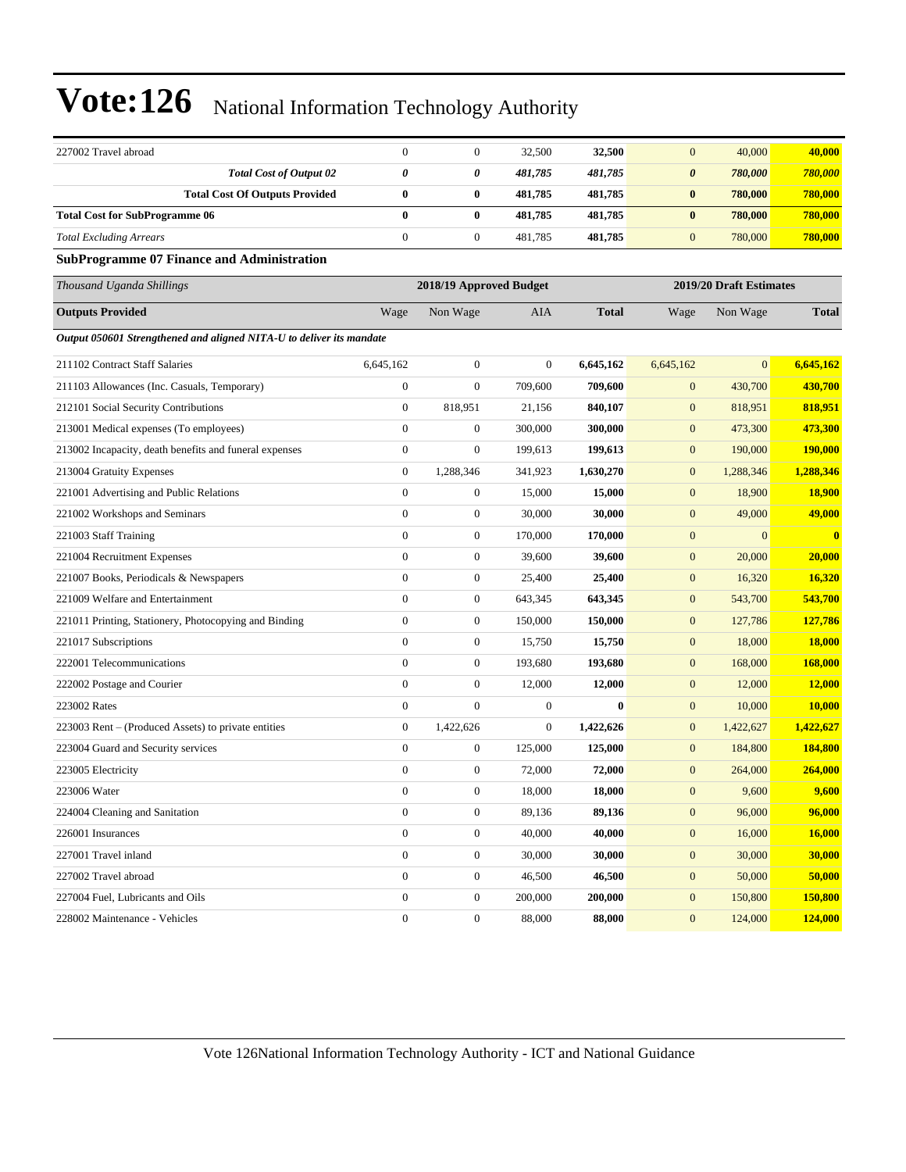| 227002 Travel abroad                                                 | $\boldsymbol{0}$        | $\boldsymbol{0}$ | 32,500           | 32,500       | $\mathbf{0}$            | 40,000       | 40,000        |
|----------------------------------------------------------------------|-------------------------|------------------|------------------|--------------|-------------------------|--------------|---------------|
| <b>Total Cost of Output 02</b>                                       | 0                       | 0                | 481,785          | 481,785      | $\pmb{\theta}$          | 780,000      | 780,000       |
| <b>Total Cost Of Outputs Provided</b>                                | $\bf{0}$                | $\bf{0}$         | 481,785          | 481,785      | $\bf{0}$                | 780,000      | 780,000       |
| <b>Total Cost for SubProgramme 06</b>                                | $\bf{0}$                | $\bf{0}$         | 481,785          | 481,785      | $\bf{0}$                | 780,000      | 780,000       |
| <b>Total Excluding Arrears</b>                                       | $\boldsymbol{0}$        | $\mathbf{0}$     | 481,785          | 481,785      | $\mathbf{0}$            | 780,000      | 780,000       |
| <b>SubProgramme 07 Finance and Administration</b>                    |                         |                  |                  |              |                         |              |               |
| Thousand Uganda Shillings                                            | 2018/19 Approved Budget |                  |                  |              | 2019/20 Draft Estimates |              |               |
| <b>Outputs Provided</b>                                              | Wage                    | Non Wage         | AIA              | <b>Total</b> | Wage                    | Non Wage     | <b>Total</b>  |
| Output 050601 Strengthened and aligned NITA-U to deliver its mandate |                         |                  |                  |              |                         |              |               |
| 211102 Contract Staff Salaries                                       | 6,645,162               | $\boldsymbol{0}$ | $\mathbf{0}$     | 6,645,162    | 6,645,162               | $\mathbf{0}$ | 6,645,162     |
| 211103 Allowances (Inc. Casuals, Temporary)                          | $\boldsymbol{0}$        | $\boldsymbol{0}$ | 709,600          | 709,600      | $\boldsymbol{0}$        | 430,700      | 430,700       |
| 212101 Social Security Contributions                                 | $\boldsymbol{0}$        | 818,951          | 21,156           | 840,107      | $\boldsymbol{0}$        | 818,951      | 818,951       |
| 213001 Medical expenses (To employees)                               | $\boldsymbol{0}$        | $\mathbf{0}$     | 300,000          | 300,000      | $\mathbf{0}$            | 473,300      | 473,300       |
| 213002 Incapacity, death benefits and funeral expenses               | $\boldsymbol{0}$        | $\boldsymbol{0}$ | 199,613          | 199,613      | $\mathbf{0}$            | 190,000      | 190,000       |
| 213004 Gratuity Expenses                                             | $\boldsymbol{0}$        | 1,288,346        | 341,923          | 1,630,270    | $\boldsymbol{0}$        | 1,288,346    | 1,288,346     |
| 221001 Advertising and Public Relations                              | $\boldsymbol{0}$        | $\boldsymbol{0}$ | 15,000           | 15,000       | $\boldsymbol{0}$        | 18,900       | <b>18,900</b> |
| 221002 Workshops and Seminars                                        | $\boldsymbol{0}$        | $\boldsymbol{0}$ | 30,000           | 30,000       | $\mathbf{0}$            | 49,000       | 49,000        |
| 221003 Staff Training                                                | $\mathbf{0}$            | $\mathbf{0}$     | 170,000          | 170,000      | $\mathbf{0}$            | $\mathbf{0}$ | $\mathbf{0}$  |
| 221004 Recruitment Expenses                                          | $\boldsymbol{0}$        | $\boldsymbol{0}$ | 39,600           | 39,600       | $\mathbf{0}$            | 20,000       | 20,000        |
| 221007 Books, Periodicals & Newspapers                               | $\mathbf{0}$            | $\boldsymbol{0}$ | 25,400           | 25,400       | $\boldsymbol{0}$        | 16,320       | 16,320        |
| 221009 Welfare and Entertainment                                     | $\boldsymbol{0}$        | $\boldsymbol{0}$ | 643,345          | 643,345      | $\boldsymbol{0}$        | 543,700      | 543,700       |
| 221011 Printing, Stationery, Photocopying and Binding                | $\boldsymbol{0}$        | $\boldsymbol{0}$ | 150,000          | 150,000      | $\boldsymbol{0}$        | 127,786      | 127,786       |
| 221017 Subscriptions                                                 | $\mathbf{0}$            | $\boldsymbol{0}$ | 15,750           | 15,750       | $\mathbf{0}$            | 18,000       | 18,000        |
| 222001 Telecommunications                                            | $\boldsymbol{0}$        | $\boldsymbol{0}$ | 193,680          | 193,680      | $\mathbf{0}$            | 168,000      | 168,000       |
| 222002 Postage and Courier                                           | $\mathbf{0}$            | $\boldsymbol{0}$ | 12,000           | 12,000       | $\boldsymbol{0}$        | 12,000       | 12,000        |
| 223002 Rates                                                         | $\boldsymbol{0}$        | $\mathbf{0}$     | $\mathbf{0}$     | $\bf{0}$     | $\boldsymbol{0}$        | 10,000       | 10,000        |
| 223003 Rent - (Produced Assets) to private entities                  | $\boldsymbol{0}$        | 1,422,626        | $\boldsymbol{0}$ | 1,422,626    | $\boldsymbol{0}$        | 1,422,627    | 1,422,627     |
| 223004 Guard and Security services                                   | $\boldsymbol{0}$        | $\mathbf{0}$     | 125,000          | 125,000      | $\mathbf{0}$            | 184,800      | 184,800       |
| 223005 Electricity                                                   | $\boldsymbol{0}$        | $\bf{0}$         | 72,000           | 72,000       | $\mathbf{0}$            | 264,000      | 264,000       |
| 223006 Water                                                         | $\boldsymbol{0}$        | $\boldsymbol{0}$ | 18,000           | 18,000       | $\mathbf{0}$            | 9,600        | 9,600         |
| 224004 Cleaning and Sanitation                                       | $\boldsymbol{0}$        | $\boldsymbol{0}$ | 89,136           | 89,136       | $\boldsymbol{0}$        | 96,000       | 96,000        |
| 226001 Insurances                                                    | $\boldsymbol{0}$        | $\boldsymbol{0}$ | 40,000           | 40,000       | $\boldsymbol{0}$        | 16,000       | 16,000        |
| 227001 Travel inland                                                 | $\boldsymbol{0}$        | $\boldsymbol{0}$ | 30,000           | 30,000       | $\boldsymbol{0}$        | 30,000       | 30,000        |
| 227002 Travel abroad                                                 | $\boldsymbol{0}$        | $\boldsymbol{0}$ | 46,500           | 46,500       | $\boldsymbol{0}$        | 50,000       | 50,000        |
| 227004 Fuel, Lubricants and Oils                                     | $\boldsymbol{0}$        | $\boldsymbol{0}$ | 200,000          | 200,000      | $\boldsymbol{0}$        | 150,800      | 150,800       |
| 228002 Maintenance - Vehicles                                        | $\boldsymbol{0}$        | $\boldsymbol{0}$ | 88,000           | 88,000       | $\boldsymbol{0}$        | 124,000      | 124,000       |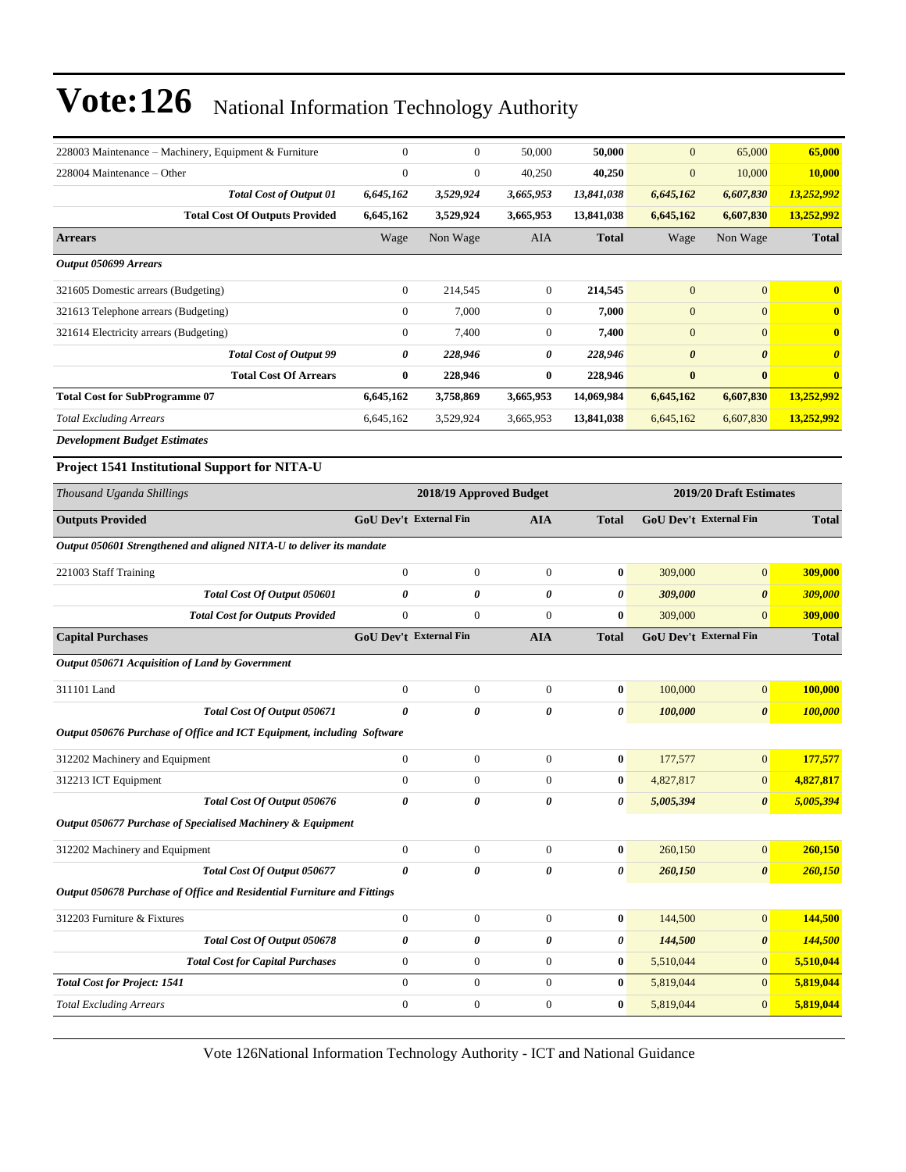| 228003 Maintenance – Machinery, Equipment & Furniture                   |                                         | $\mathbf{0}$                                | $\boldsymbol{0}$ | 50,000           | 50,000                  | $\boldsymbol{0}$       | 65,000                | 65,000                |
|-------------------------------------------------------------------------|-----------------------------------------|---------------------------------------------|------------------|------------------|-------------------------|------------------------|-----------------------|-----------------------|
| 228004 Maintenance – Other                                              |                                         | $\mathbf{0}$                                | $\boldsymbol{0}$ | 40,250           | 40,250                  | $\boldsymbol{0}$       | 10,000                | <b>10,000</b>         |
|                                                                         | <b>Total Cost of Output 01</b>          | 6,645,162                                   | 3,529,924        | 3,665,953        | 13,841,038              | 6,645,162              | 6,607,830             | 13,252,992            |
|                                                                         | <b>Total Cost Of Outputs Provided</b>   | 6,645,162                                   | 3,529,924        | 3,665,953        | 13,841,038              | 6,645,162              | 6,607,830             | 13,252,992            |
| <b>Arrears</b>                                                          |                                         | Wage                                        | Non Wage         | AIA              | <b>Total</b>            | Wage                   | Non Wage              | <b>Total</b>          |
| <b>Output 050699 Arrears</b>                                            |                                         |                                             |                  |                  |                         |                        |                       |                       |
| 321605 Domestic arrears (Budgeting)                                     |                                         | $\mathbf{0}$                                | 214,545          | $\boldsymbol{0}$ | 214,545                 | $\mathbf{0}$           | $\mathbf{0}$          | $\bf{0}$              |
| 321613 Telephone arrears (Budgeting)                                    |                                         | $\boldsymbol{0}$                            | 7,000            | $\boldsymbol{0}$ | 7,000                   | $\boldsymbol{0}$       | $\mathbf{0}$          | $\bf{0}$              |
| 321614 Electricity arrears (Budgeting)                                  |                                         | $\boldsymbol{0}$                            | 7,400            | 0                | 7,400                   | $\mathbf{0}$           | $\mathbf{0}$          | $\bf{0}$              |
|                                                                         | <b>Total Cost of Output 99</b>          | 0                                           | 228,946          | 0                | 228,946                 | $\boldsymbol{\theta}$  | $\boldsymbol{\theta}$ | $\boldsymbol{\theta}$ |
|                                                                         | <b>Total Cost Of Arrears</b>            | $\bf{0}$                                    | 228,946          | $\bf{0}$         | 228,946                 | $\bf{0}$               | $\mathbf{0}$          | $\bf{0}$              |
| <b>Total Cost for SubProgramme 07</b>                                   |                                         | 6,645,162                                   | 3,758,869        | 3,665,953        | 14,069,984              | 6,645,162              | 6,607,830             | 13,252,992            |
| <b>Total Excluding Arrears</b>                                          |                                         | 6,645,162                                   | 3,529,924        | 3,665,953        | 13,841,038              | 6,645,162              | 6,607,830             | 13,252,992            |
| <b>Development Budget Estimates</b>                                     |                                         |                                             |                  |                  |                         |                        |                       |                       |
| Project 1541 Institutional Support for NITA-U                           |                                         |                                             |                  |                  |                         |                        |                       |                       |
| Thousand Uganda Shillings                                               |                                         | 2018/19 Approved Budget                     |                  |                  | 2019/20 Draft Estimates |                        |                       |                       |
| <b>Outputs Provided</b>                                                 |                                         | GoU Dev't External Fin                      |                  | <b>AIA</b>       | <b>Total</b>            | GoU Dev't External Fin |                       | <b>Total</b>          |
| Output 050601 Strengthened and aligned NITA-U to deliver its mandate    |                                         |                                             |                  |                  |                         |                        |                       |                       |
| 221003 Staff Training                                                   |                                         | $\overline{0}$                              | $\boldsymbol{0}$ | $\boldsymbol{0}$ | 0                       | 309,000                | $\mathbf{0}$          | 309,000               |
|                                                                         | Total Cost Of Output 050601             | 0                                           | 0                | 0                | 0                       | 309,000                | $\boldsymbol{\theta}$ | 309,000               |
|                                                                         | <b>Total Cost for Outputs Provided</b>  | $\mathbf{0}$                                | $\overline{0}$   | $\mathbf{0}$     | $\bf{0}$                | 309,000                | $\mathbf{0}$          | 309,000               |
| <b>Capital Purchases</b>                                                |                                         | <b>GoU Dev't External Fin</b><br><b>AIA</b> |                  | <b>Total</b>     | GoU Dev't External Fin  |                        | <b>Total</b>          |                       |
| Output 050671 Acquisition of Land by Government                         |                                         |                                             |                  |                  |                         |                        |                       |                       |
| 311101 Land                                                             |                                         | $\mathbf{0}$                                | $\mathbf{0}$     | $\mathbf{0}$     | $\bf{0}$                | 100,000                | $\mathbf{0}$          | 100,000               |
|                                                                         | Total Cost Of Output 050671             | 0                                           | 0                | 0                | 0                       | 100,000                | $\boldsymbol{\theta}$ | 100,000               |
| Output 050676 Purchase of Office and ICT Equipment, including Software  |                                         |                                             |                  |                  |                         |                        |                       |                       |
| 312202 Machinery and Equipment                                          |                                         | $\mathbf{0}$                                | $\boldsymbol{0}$ | $\boldsymbol{0}$ | $\bf{0}$                | 177,577                | $\boldsymbol{0}$      | 177,577               |
| 312213 ICT Equipment                                                    |                                         | $\mathbf{0}$                                | $\overline{0}$   | $\boldsymbol{0}$ | $\bf{0}$                | 4,827,817              | $\mathbf{0}$          | 4,827,817             |
|                                                                         | Total Cost Of Output 050676             | 0                                           | 0                | 0                | 0                       | 5,005,394              | $\boldsymbol{\theta}$ | 5,005,394             |
| Output 050677 Purchase of Specialised Machinery & Equipment             |                                         |                                             |                  |                  |                         |                        |                       |                       |
| 312202 Machinery and Equipment                                          |                                         | $\mathbf{0}$                                | $\boldsymbol{0}$ | $\mathbf{0}$     | $\bf{0}$                | 260,150                | $\mathbf{0}$          | 260,150               |
|                                                                         | Total Cost Of Output 050677             | $\pmb{\theta}$                              | 0                | 0                | 0                       | 260,150                | $\boldsymbol{\theta}$ | 260,150               |
| Output 050678 Purchase of Office and Residential Furniture and Fittings |                                         |                                             |                  |                  |                         |                        |                       |                       |
| 312203 Furniture & Fixtures                                             |                                         | $\boldsymbol{0}$                            | $\boldsymbol{0}$ | $\overline{0}$   | $\boldsymbol{0}$        | 144,500                | $\mathbf{0}$          | 144,500               |
|                                                                         | Total Cost Of Output 050678             | 0                                           | 0                | 0                | 0                       | 144,500                | $\boldsymbol{\theta}$ | 144,500               |
|                                                                         | <b>Total Cost for Capital Purchases</b> | $\boldsymbol{0}$                            | $\boldsymbol{0}$ | $\boldsymbol{0}$ | $\boldsymbol{0}$        | 5,510,044              | $\boldsymbol{0}$      | 5,510,044             |
| <b>Total Cost for Project: 1541</b>                                     |                                         | $\mathbf{0}$                                | $\boldsymbol{0}$ | $\boldsymbol{0}$ | $\boldsymbol{0}$        | 5,819,044              | $\boldsymbol{0}$      | 5,819,044             |
|                                                                         |                                         |                                             |                  |                  |                         |                        |                       |                       |
| <b>Total Excluding Arrears</b>                                          |                                         | $\boldsymbol{0}$                            | $\boldsymbol{0}$ | $\boldsymbol{0}$ | $\boldsymbol{0}$        | 5,819,044              | $\boldsymbol{0}$      | 5,819,044             |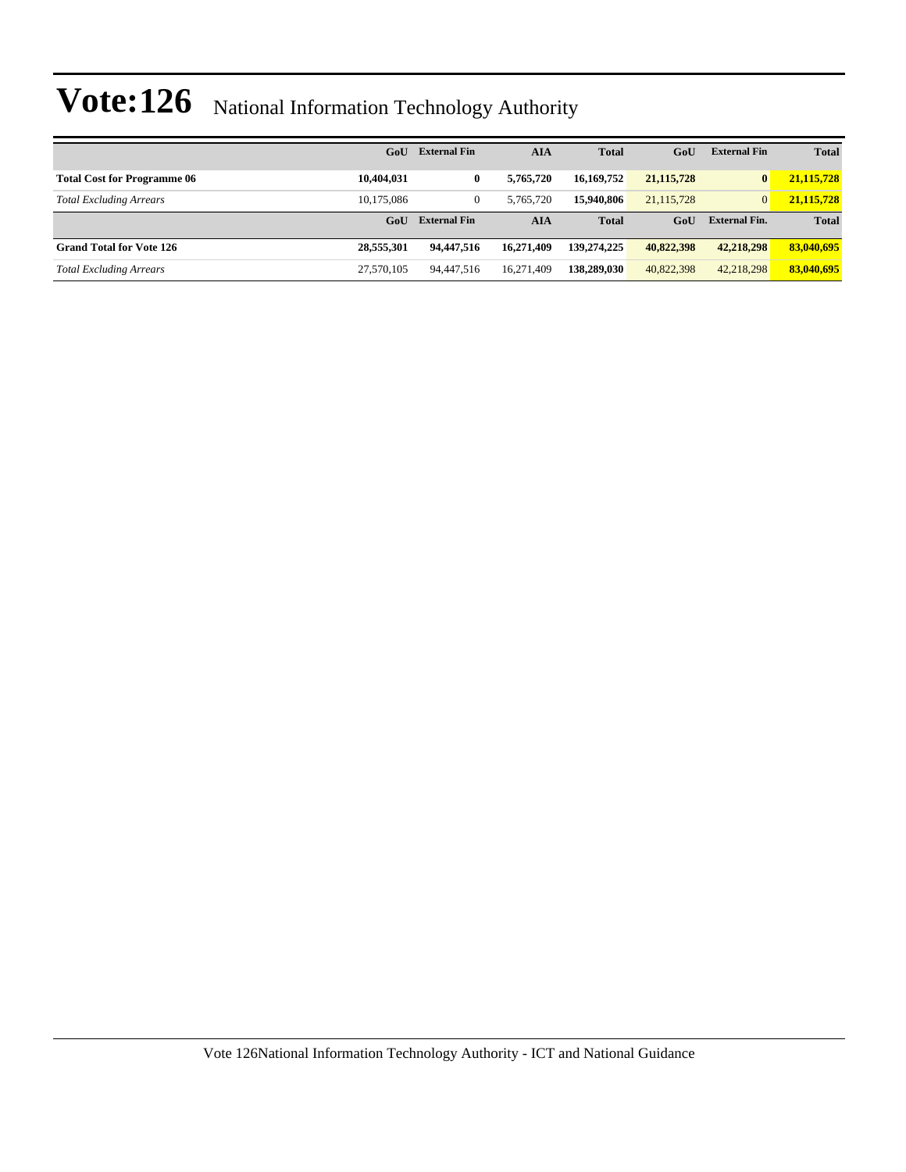|                                    | GoU        | <b>External Fin</b> | <b>AIA</b> | <b>Total</b> | GoU          | <b>External Fin</b>  | <b>Total</b> |
|------------------------------------|------------|---------------------|------------|--------------|--------------|----------------------|--------------|
| <b>Total Cost for Programme 06</b> | 10,404,031 | $\bf{0}$            | 5.765.720  | 16,169,752   | 21, 115, 728 | $\mathbf{0}$         | 21,115,728   |
| <b>Total Excluding Arrears</b>     | 10.175.086 | $\mathbf{0}$        | 5.765.720  | 15,940,806   | 21.115.728   | $\overline{0}$       | 21,115,728   |
|                                    | GoU        | <b>External Fin</b> | <b>AIA</b> | <b>Total</b> | GoU          | <b>External Fin.</b> | <b>Total</b> |
| <b>Grand Total for Vote 126</b>    | 28,555,301 | 94,447,516          | 16.271.409 | 139.274.225  | 40.822.398   | 42,218,298           | 83,040,695   |
| <b>Total Excluding Arrears</b>     | 27,570,105 | 94,447,516          | 16,271,409 | 138,289,030  | 40,822,398   | 42,218,298           | 83,040,695   |